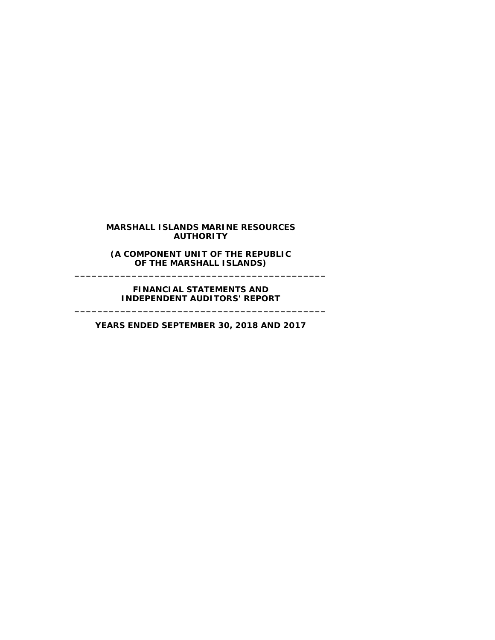**(A COMPONENT UNIT OF THE REPUBLIC OF THE MARSHALL ISLANDS) \_\_\_\_\_\_\_\_\_\_\_\_\_\_\_\_\_\_\_\_\_\_\_\_\_\_\_\_\_\_\_\_\_\_\_\_\_\_\_\_\_\_\_\_**

**FINANCIAL STATEMENTS AND INDEPENDENT AUDITORS' REPORT \_\_\_\_\_\_\_\_\_\_\_\_\_\_\_\_\_\_\_\_\_\_\_\_\_\_\_\_\_\_\_\_\_\_\_\_\_\_\_\_\_\_\_\_**

**YEARS ENDED SEPTEMBER 30, 2018 AND 2017**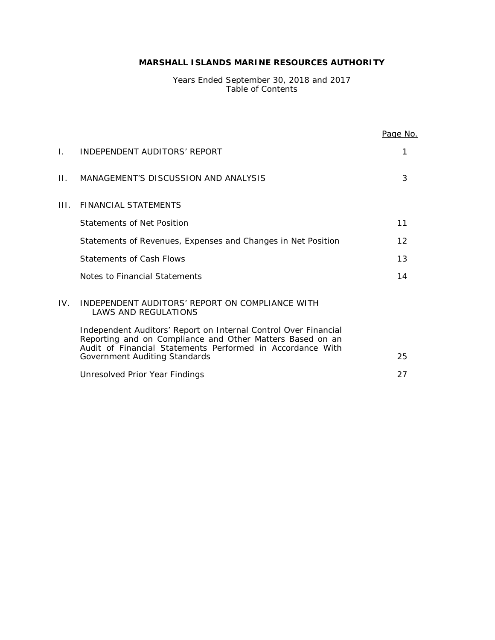Years Ended September 30, 2018 and 2017 Table of Contents

|          |                                                                                                                                                                                            | Page No. |
|----------|--------------------------------------------------------------------------------------------------------------------------------------------------------------------------------------------|----------|
| L.       | INDEPENDENT AUDITORS' REPORT                                                                                                                                                               | 1        |
| П.       | MANAGEMENT'S DISCUSSION AND ANALYSIS                                                                                                                                                       | 3        |
| HL.      | <b>FINANCIAL STATEMENTS</b>                                                                                                                                                                |          |
|          | Statements of Net Position                                                                                                                                                                 | 11       |
|          | Statements of Revenues, Expenses and Changes in Net Position                                                                                                                               | 12       |
|          | Statements of Cash Flows                                                                                                                                                                   | 13       |
|          | Notes to Financial Statements                                                                                                                                                              | 14       |
| $IV_{-}$ | INDEPENDENT AUDITORS' REPORT ON COMPLIANCE WITH<br><b>LAWS AND REGULATIONS</b>                                                                                                             |          |
|          | Independent Auditors' Report on Internal Control Over Financial<br>Reporting and on Compliance and Other Matters Based on an<br>Audit of Financial Statements Performed in Accordance With |          |
|          | Government Auditing Standards                                                                                                                                                              | 25       |
|          | Unresolved Prior Year Findings                                                                                                                                                             | 27       |
|          |                                                                                                                                                                                            |          |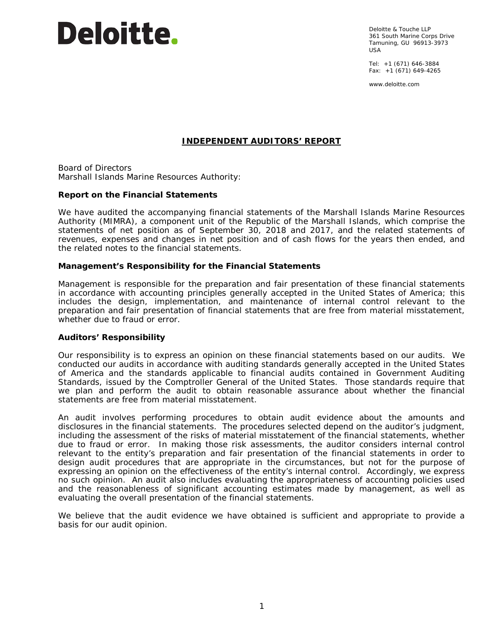# **Deloitte.**

Deloitte & Touche LLP 361 South Marine Corps Drive Tamuning, GU 96913-3973 USA

Tel: +1 (671) 646-3884 Fax: +1 (671) 649-4265

www.deloitte.com

# **INDEPENDENT AUDITORS' REPORT**

Board of Directors Marshall Islands Marine Resources Authority:

# **Report on the Financial Statements**

We have audited the accompanying financial statements of the Marshall Islands Marine Resources Authority (MIMRA), a component unit of the Republic of the Marshall Islands, which comprise the statements of net position as of September 30, 2018 and 2017, and the related statements of revenues, expenses and changes in net position and of cash flows for the years then ended, and the related notes to the financial statements.

# *Management's Responsibility for the Financial Statements*

Management is responsible for the preparation and fair presentation of these financial statements in accordance with accounting principles generally accepted in the United States of America; this includes the design, implementation, and maintenance of internal control relevant to the preparation and fair presentation of financial statements that are free from material misstatement, whether due to fraud or error.

# *Auditors' Responsibility*

Our responsibility is to express an opinion on these financial statements based on our audits. We conducted our audits in accordance with auditing standards generally accepted in the United States of America and the standards applicable to financial audits contained in *Government Auditing Standards*, issued by the Comptroller General of the United States. Those standards require that we plan and perform the audit to obtain reasonable assurance about whether the financial statements are free from material misstatement.

An audit involves performing procedures to obtain audit evidence about the amounts and disclosures in the financial statements. The procedures selected depend on the auditor's judgment, including the assessment of the risks of material misstatement of the financial statements, whether due to fraud or error. In making those risk assessments, the auditor considers internal control relevant to the entity's preparation and fair presentation of the financial statements in order to design audit procedures that are appropriate in the circumstances, but not for the purpose of expressing an opinion on the effectiveness of the entity's internal control. Accordingly, we express no such opinion. An audit also includes evaluating the appropriateness of accounting policies used and the reasonableness of significant accounting estimates made by management, as well as evaluating the overall presentation of the financial statements.

We believe that the audit evidence we have obtained is sufficient and appropriate to provide a basis for our audit opinion.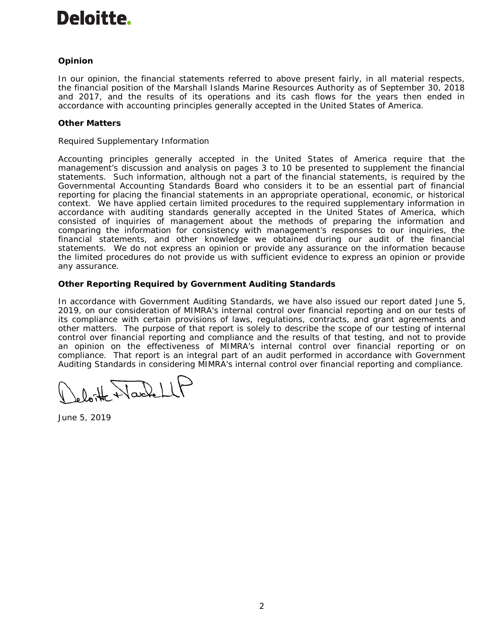# **Deloitte**.

# *Opinion*

In our opinion, the financial statements referred to above present fairly, in all material respects, the financial position of the Marshall Islands Marine Resources Authority as of September 30, 2018 and 2017, and the results of its operations and its cash flows for the years then ended in accordance with accounting principles generally accepted in the United States of America.

# *Other Matters*

# *Required Supplementary Information*

Accounting principles generally accepted in the United States of America require that the management's discussion and analysis on pages 3 to 10 be presented to supplement the financial statements. Such information, although not a part of the financial statements, is required by the Governmental Accounting Standards Board who considers it to be an essential part of financial reporting for placing the financial statements in an appropriate operational, economic, or historical context. We have applied certain limited procedures to the required supplementary information in accordance with auditing standards generally accepted in the United States of America, which consisted of inquiries of management about the methods of preparing the information and comparing the information for consistency with management's responses to our inquiries, the financial statements, and other knowledge we obtained during our audit of the financial statements. We do not express an opinion or provide any assurance on the information because the limited procedures do not provide us with sufficient evidence to express an opinion or provide any assurance.

# **Other Reporting Required by** *Government Auditing Standards*

In accordance with *Government Auditing Standards*, we have also issued our report dated June 5, 2019, on our consideration of MIMRA's internal control over financial reporting and on our tests of its compliance with certain provisions of laws, regulations, contracts, and grant agreements and other matters. The purpose of that report is solely to describe the scope of our testing of internal control over financial reporting and compliance and the results of that testing, and not to provide an opinion on the effectiveness of MIMRA's internal control over financial reporting or on compliance. That report is an integral part of an audit performed in accordance with *Government Auditing Standards* in considering MIMRA's internal control over financial reporting and compliance.

Harlell

June 5, 2019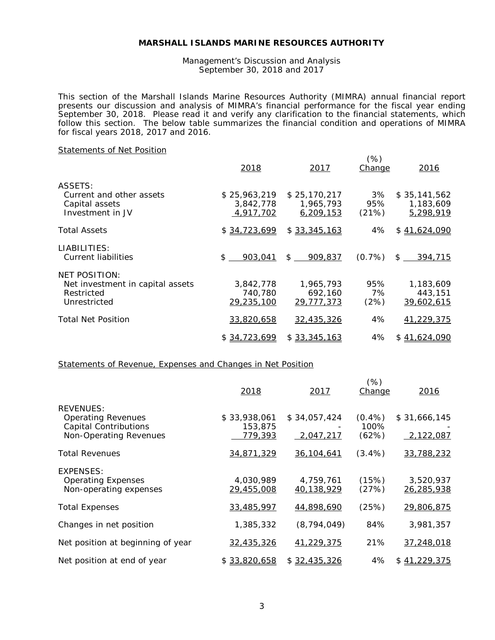Management's Discussion and Analysis September 30, 2018 and 2017

This section of the Marshall Islands Marine Resources Authority (MIMRA) annual financial report presents our discussion and analysis of MIMRA's financial performance for the fiscal year ending September 30, 2018. Please read it and verify any clarification to the financial statements, which follow this section. The below table summarizes the financial condition and operations of MIMRA for fiscal years 2018, 2017 and 2016.

(%)

#### **Statements of Net Position**

|                                                                                        | 2018                                   | 2017                                   | $\sqrt{2}$<br>Change | 2016                                   |
|----------------------------------------------------------------------------------------|----------------------------------------|----------------------------------------|----------------------|----------------------------------------|
| ASSETS:<br>Current and other assets<br>Capital assets<br>Investment in JV              | \$25,963,219<br>3,842,778<br>4,917,702 | \$25,170,217<br>1,965,793<br>6,209,153 | 3%<br>95%<br>(21%)   | \$35,141,562<br>1,183,609<br>5,298,919 |
| <b>Total Assets</b>                                                                    | \$34,723,699                           | \$33,345,163                           | 4%                   | \$41,624,090                           |
| LIABILITIES:<br>Current liabilities                                                    | \$<br>903,041                          | 909,837<br>$\mathsf{S}$                | $(0.7\%)$            | \$<br>394,715                          |
| <b>NET POSITION:</b><br>Net investment in capital assets<br>Restricted<br>Unrestricted | 3,842,778<br>740.780<br>29,235,100     | 1.965.793<br>692.160<br>29,777,373     | 95%<br>7%<br>(2%)    | 1,183,609<br>443,151<br>39,602,615     |
| <b>Total Net Position</b>                                                              | 33,820,658                             | 32,435,326                             | 4%                   | 41,229,375                             |
|                                                                                        | \$34,723,699                           | \$33,345,163                           | 4%                   | \$41,624,090                           |

# Statements of Revenue, Expenses and Changes in Net Position

|                                                                                                         |                                    |                           | $(\%)$                     |                           |
|---------------------------------------------------------------------------------------------------------|------------------------------------|---------------------------|----------------------------|---------------------------|
|                                                                                                         | 2018                               | 2017                      | Change                     | 2016                      |
| <b>REVENUES:</b><br><b>Operating Revenues</b><br><b>Capital Contributions</b><br>Non-Operating Revenues | \$33,938,061<br>153,875<br>779,393 | \$34,057,424<br>2,047,217 | $(0.4\%)$<br>100%<br>(62%) | \$31,666,145<br>2,122,087 |
|                                                                                                         |                                    |                           |                            |                           |
| <b>Total Revenues</b>                                                                                   | 34,871,329                         | 36,104,641                | $(3.4\%)$                  | 33,788,232                |
| EXPENSES:<br><b>Operating Expenses</b><br>Non-operating expenses                                        | 4,030,989<br>29,455,008            | 4,759,761<br>40,138,929   | (15%)<br>(27%)             | 3,520,937<br>26,285,938   |
| <b>Total Expenses</b>                                                                                   | 33,485,997                         | 44,898,690                | (25%)                      | 29,806,875                |
| Changes in net position                                                                                 | 1,385,332                          | (8, 794, 049)             | 84%                        | 3,981,357                 |
| Net position at beginning of year                                                                       | 32,435,326                         | 41,229,375                | 21%                        | 37,248,018                |
| Net position at end of year                                                                             | 33,820,658<br>S.                   | \$ 32,435,326             | 4%                         | \$41,229,375              |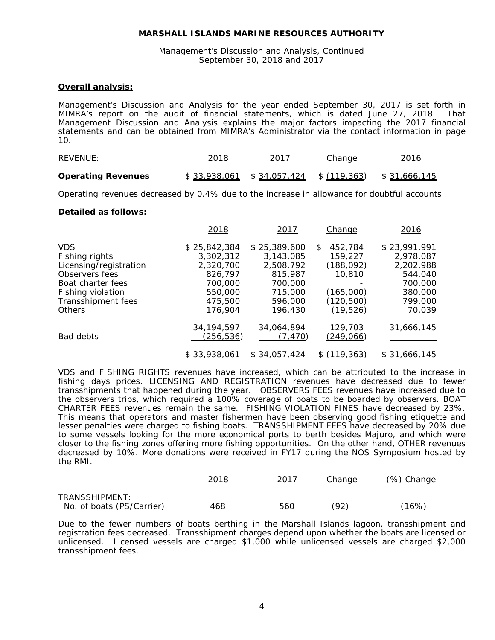#### Management's Discussion and Analysis, Continued September 30, 2018 and 2017

# **Overall analysis:**

Management's Discussion and Analysis for the year ended September 30, 2017 is set forth in MIMRA's report on the audit of financial statements, which is dated June 27, 2018. That Management Discussion and Analysis explains the major factors impacting the 2017 financial statements and can be obtained from MIMRA's Administrator via the contact information in page 10.

| REVENUE:                  | 2018 | 2017                                     | <u>Change</u> | 2016         |
|---------------------------|------|------------------------------------------|---------------|--------------|
| <b>Operating Revenues</b> |      | $$33.938.061$ $$34.057.424$ $$(119.363)$ |               | \$31.666.145 |

Operating revenues decreased by 0.4% due to the increase in allowance for doubtful accounts

#### **Detailed as follows:**

|                        | 2018         | 2017         | Change         | 2016         |
|------------------------|--------------|--------------|----------------|--------------|
| <b>VDS</b>             | \$25,842,384 | \$25,389,600 | 452,784<br>\$. | \$23,991,991 |
| Fishing rights         | 3,302,312    | 3,143,085    | 159,227        | 2,978,087    |
| Licensing/registration | 2,320,700    | 2,508,792    | (188, 092)     | 2,202,988    |
| Observers fees         | 826.797      | 815,987      | 10,810         | 544,040      |
| Boat charter fees      | 700,000      | 700,000      |                | 700,000      |
| Fishing violation      | 550,000      | 715,000      | (165,000)      | 380,000      |
| Transshipment fees     | 475,500      | 596,000      | (120, 500)     | 799,000      |
| <b>Others</b>          | 176,904      | 196,430      | (19,526)       | 70,039       |
|                        | 34, 194, 597 | 34,064,894   | 129,703        | 31,666,145   |
| Bad debts              | (256, 536)   | (7, 470)     | (249,066)      |              |
|                        | \$33,938,061 | \$34.057.424 | \$(119, 363)   | \$31,666,145 |

VDS and FISHING RIGHTS revenues have increased, which can be attributed to the increase in fishing days prices. LICENSING AND REGISTRATION revenues have decreased due to fewer transshipments that happened during the year. OBSERVERS FEES revenues have increased due to the observers trips, which required a 100% coverage of boats to be boarded by observers. BOAT CHARTER FEES revenues remain the same. FISHING VIOLATION FINES have decreased by 23%. This means that operators and master fishermen have been observing good fishing etiquette and lesser penalties were charged to fishing boats. TRANSSHIPMENT FEES have decreased by 20% due to some vessels looking for the more economical ports to berth besides Majuro, and which were closer to the fishing zones offering more fishing opportunities. On the other hand, OTHER revenues decreased by 10%. More donations were received in FY17 during the NOS Symposium hosted by the RMI.

|                           | <u> 2018</u> | <u>2017</u> | Change | (%) Change |
|---------------------------|--------------|-------------|--------|------------|
| TRANSSHIPMENT:            |              |             |        |            |
| No. of boats (PS/Carrier) | 468          | 560         | (92)   | (16%)      |

Due to the fewer numbers of boats berthing in the Marshall Islands lagoon, transshipment and registration fees decreased. Transshipment charges depend upon whether the boats are licensed or unlicensed. Licensed vessels are charged \$1,000 while unlicensed vessels are charged \$2,000 transshipment fees.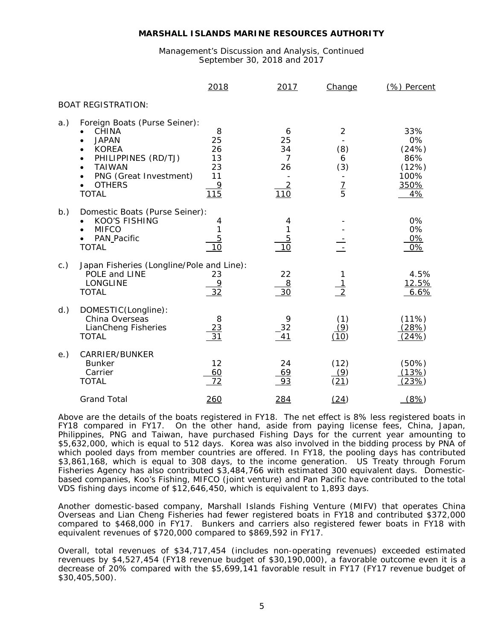# Management's Discussion and Analysis, Continued September 30, 2018 and 2017

|        |                                                                                                                                                                                                                                                                | 2018                                        | 2017                                                           | Change                                             | (%) Percent                                              |
|--------|----------------------------------------------------------------------------------------------------------------------------------------------------------------------------------------------------------------------------------------------------------------|---------------------------------------------|----------------------------------------------------------------|----------------------------------------------------|----------------------------------------------------------|
|        | <b>BOAT REGISTRATION:</b>                                                                                                                                                                                                                                      |                                             |                                                                |                                                    |                                                          |
| a.)    | Foreign Boats (Purse Seiner):<br><b>CHINA</b><br>$\bullet$<br><b>JAPAN</b><br>$\bullet$<br><b>KOREA</b><br>$\bullet$<br>PHILIPPINES (RD/TJ)<br>$\bullet$<br><b>TAIWAN</b><br>$\bullet$<br>PNG (Great Investment)<br>$\bullet$<br><b>OTHERS</b><br><b>TOTAL</b> | 8<br>25<br>26<br>13<br>23<br>11<br>9<br>115 | 6<br>25<br>34<br>$\overline{7}$<br>26<br>$\overline{2}$<br>110 | $\overline{2}$<br>(8)<br>6<br>(3)<br>$\frac{7}{5}$ | 33%<br>0%<br>(24%)<br>86%<br>(12%)<br>100%<br>350%<br>4% |
| b.)    | Domestic Boats (Purse Seiner):<br><b>KOO'S FISHING</b><br>$\bullet$<br><b>MIFCO</b><br>$\bullet$<br>PAN_Pacific<br><b>TOTAL</b>                                                                                                                                | 4<br>5<br>10                                | 4<br>1<br>5<br>10                                              |                                                    | 0%<br>0%<br>0%<br>0%                                     |
| c.)    | Japan Fisheries (Longline/Pole and Line):<br>POLE and LINE<br>LONGLINE<br><b>TOTAL</b>                                                                                                                                                                         | 23<br>9<br>32                               | 22<br>8<br>30                                                  | 1<br>$\frac{1}{2}$                                 | 4.5%<br>12.5%<br>6.6%                                    |
| $d.$ ) | DOMESTIC(Longline):<br>China Overseas<br>LianCheng Fisheries<br><b>TOTAL</b>                                                                                                                                                                                   | 8<br>23<br>$\overline{31}$                  | 9<br>$-32$<br>41                                               | (1)<br>(9)<br>(10)                                 | (11%)<br>(28%)<br>(24%)                                  |
| e.)    | CARRIER/BUNKER<br><b>Bunker</b><br>Carrier<br><b>TOTAL</b>                                                                                                                                                                                                     | 12<br>60<br>72                              | 24<br>69<br>93                                                 | (12)<br>(9)<br>(21)                                | (50%)<br>(13%)<br>(23%)                                  |
|        | <b>Grand Total</b>                                                                                                                                                                                                                                             | 260                                         | 284                                                            | (24)                                               | (8%)                                                     |

Above are the details of the boats registered in FY18. The net effect is 8% less registered boats in FY18 compared in FY17. On the other hand, aside from paying license fees, China, Japan, Philippines, PNG and Taiwan, have purchased Fishing Days for the current year amounting to \$5,632,000, which is equal to 512 days. Korea was also involved in the bidding process by PNA of which pooled days from member countries are offered. In FY18, the pooling days has contributed \$3,861,168, which is equal to 308 days, to the income generation. US Treaty through Forum Fisheries Agency has also contributed \$3,484,766 with estimated 300 equivalent days. Domesticbased companies, Koo's Fishing, MIFCO (joint venture) and Pan Pacific have contributed to the total VDS fishing days income of \$12,646,450, which is equivalent to 1,893 days.

Another domestic-based company, Marshall Islands Fishing Venture (MIFV) that operates China Overseas and Lian Cheng Fisheries had fewer registered boats in FY18 and contributed \$372,000 compared to \$468,000 in FY17. Bunkers and carriers also registered fewer boats in FY18 with equivalent revenues of \$720,000 compared to \$869,592 in FY17.

Overall, total revenues of \$34,717,454 (includes non-operating revenues) exceeded estimated revenues by \$4,527,454 (FY18 revenue budget of \$30,190,000), a favorable outcome even it is a decrease of 20% compared with the \$5,699,141 favorable result in FY17 (FY17 revenue budget of \$30,405,500).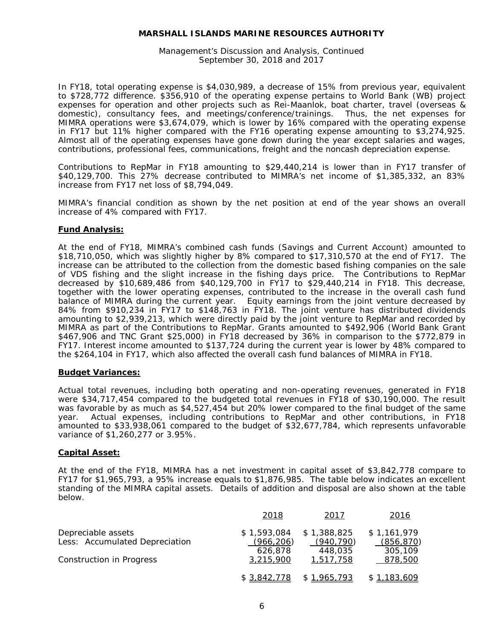Management's Discussion and Analysis, Continued September 30, 2018 and 2017

In FY18, total operating expense is \$4,030,989, a decrease of 15% from previous year, equivalent to \$728,772 difference. \$356,910 of the operating expense pertains to World Bank (WB) project expenses for operation and other projects such as Rei-Maanlok, boat charter, travel (overseas & domestic), consultancy fees, and meetings/conference/trainings. Thus, the net expenses for MIMRA operations were \$3,674,079, which is lower by 16% compared with the operating expense in FY17 but 11% higher compared with the FY16 operating expense amounting to \$3,274,925. Almost all of the operating expenses have gone down during the year except salaries and wages, contributions, professional fees, communications, freight and the noncash depreciation expense.

Contributions to RepMar in FY18 amounting to \$29,440,214 is lower than in FY17 transfer of \$40,129,700. This 27% decrease contributed to MIMRA's net income of \$1,385,332, an 83% increase from FY17 net loss of \$8,794,049.

MIMRA's financial condition as shown by the net position at end of the year shows an overall increase of 4% compared with FY17.

#### **Fund Analysis:**

At the end of FY18, MIMRA's combined cash funds (Savings and Current Account) amounted to \$18,710,050, which was slightly higher by 8% compared to \$17,310,570 at the end of FY17. The increase can be attributed to the collection from the domestic based fishing companies on the sale of VDS fishing and the slight increase in the fishing days price. The Contributions to RepMar decreased by \$10,689,486 from \$40,129,700 in FY17 to \$29,440,214 in FY18. This decrease, together with the lower operating expenses, contributed to the increase in the overall cash fund balance of MIMRA during the current year. Equity earnings from the joint venture decreased by 84% from \$910,234 in FY17 to \$148,763 in FY18. The joint venture has distributed dividends amounting to \$2,939,213, which were directly paid by the joint venture to RepMar and recorded by MIMRA as part of the Contributions to RepMar. Grants amounted to \$492,906 (World Bank Grant \$467,906 and TNC Grant \$25,000) in FY18 decreased by 36% in comparison to the \$772,879 in FY17. Interest income amounted to \$137,724 during the current year is lower by 48% compared to the \$264,104 in FY17, which also affected the overall cash fund balances of MIMRA in FY18.

# **Budget Variances:**

Actual total revenues, including both operating and non-operating revenues, generated in FY18 were \$34,717,454 compared to the budgeted total revenues in FY18 of \$30,190,000. The result was favorable by as much as \$4,527,454 but 20% lower compared to the final budget of the same year. Actual expenses, including contributions to RepMar and other contributions, in FY18 amounted to \$33,938,061 compared to the budget of \$32,677,784, which represents unfavorable variance of \$1,260,277 or 3.95%.

#### **Capital Asset:**

At the end of the FY18, MIMRA has a net investment in capital asset of \$3,842,778 compare to FY17 for \$1,965,793, a 95% increase equals to \$1,876,985. The table below indicates an excellent standing of the MIMRA capital assets. Details of addition and disposal are also shown at the table below.

|                                                      | <u> 2018</u>                        | 2017                                 | <u> 2016</u>                         |
|------------------------------------------------------|-------------------------------------|--------------------------------------|--------------------------------------|
| Depreciable assets<br>Less: Accumulated Depreciation | \$1.593.084<br>(966,206)<br>626.878 | \$1,388,825<br>(940, 790)<br>448,035 | \$1,161,979<br>(856, 870)<br>305,109 |
| Construction in Progress                             | 3,215,900                           | 1,517,758                            | 878,500                              |
|                                                      | \$3.842.778                         | \$1.965.793                          | 1.183.609                            |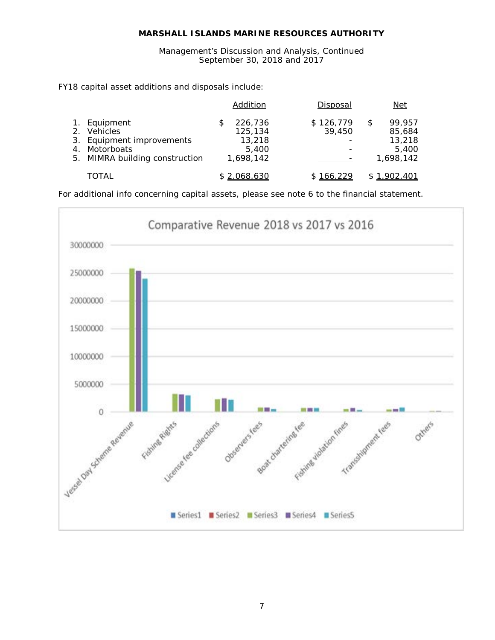Management's Discussion and Analysis, Continued September 30, 2018 and 2017

FY18 capital asset additions and disposals include:

|               |                                                                                                              | Addition                                           | <b>Disposal</b>     | <u>Net</u>                                             |
|---------------|--------------------------------------------------------------------------------------------------------------|----------------------------------------------------|---------------------|--------------------------------------------------------|
| $2_{-}$<br>4. | 1. Equipment<br><b>Vehicles</b><br>3. Equipment improvements<br>Motorboats<br>5. MIMRA building construction | 226,736<br>125,134<br>13,218<br>5,400<br>1,698,142 | \$126,779<br>39,450 | \$<br>99.957<br>85,684<br>13,218<br>5,400<br>1,698,142 |
|               | TOTAL                                                                                                        | \$2.068.630                                        | \$166,229           | \$1,902,401                                            |

For additional info concerning capital assets, please see note 6 to the financial statement.

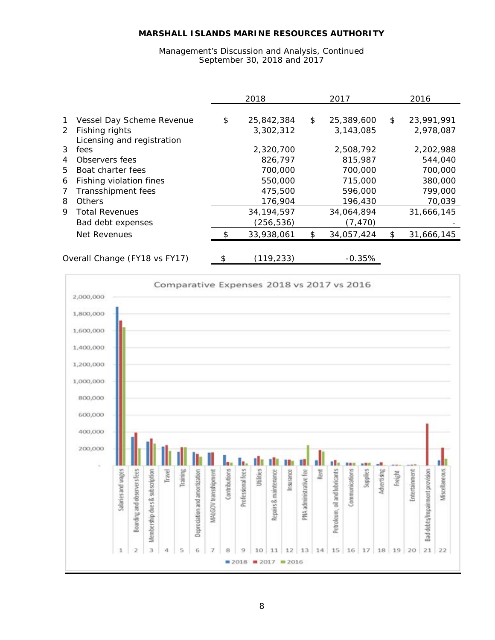# Management's Discussion and Analysis, Continued September 30, 2018 and 2017

|              |                            | 2018             | 2017             | 2016             |
|--------------|----------------------------|------------------|------------------|------------------|
|              |                            |                  |                  |                  |
| $\mathbf{1}$ | Vessel Day Scheme Revenue  | \$<br>25,842,384 | \$<br>25,389,600 | \$<br>23,991,991 |
| 2            | Fishing rights             | 3,302,312        | 3,143,085        | 2,978,087        |
|              | Licensing and registration |                  |                  |                  |
| 3            | fees                       | 2,320,700        | 2,508,792        | 2,202,988        |
| 4            | Observers fees             | 826.797          | 815,987          | 544,040          |
| 5.           | Boat charter fees          | 700,000          | 700,000          | 700,000          |
| 6            | Fishing violation fines    | 550,000          | 715,000          | 380,000          |
| 7            | Transshipment fees         | 475,500          | 596,000          | 799,000          |
| 8            | <b>Others</b>              | 176,904          | 196,430          | 70,039           |
| 9            | <b>Total Revenues</b>      | 34, 194, 597     | 34,064,894       | 31,666,145       |
|              | Bad debt expenses          | (256, 536)       | (7, 470)         |                  |
|              | Net Revenues               | 33,938,061       | \$<br>34,057,424 | \$<br>31,666,145 |
|              |                            |                  |                  |                  |

Overall Change (FY18 vs FY17)  $$$  (119,233) -0.35%

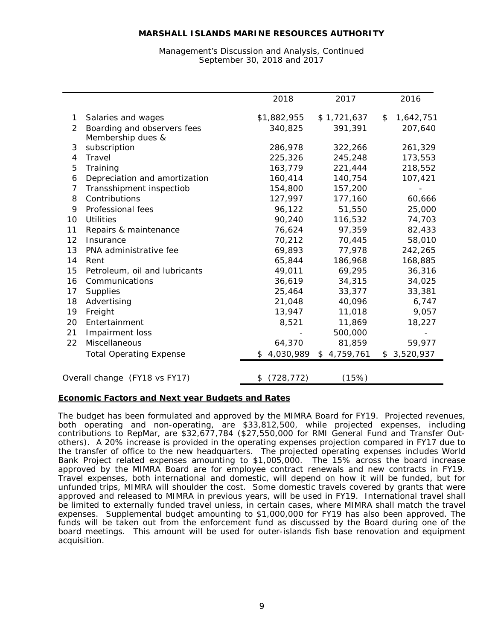Management's Discussion and Analysis, Continued September 30, 2018 and 2017

|                |                                                  | 2018             | 2017                          | 2016            |
|----------------|--------------------------------------------------|------------------|-------------------------------|-----------------|
| 1              | Salaries and wages                               | \$1,882,955      | \$1,721,637                   | 1,642,751<br>\$ |
| 2              | Boarding and observers fees<br>Membership dues & | 340,825          | 391,391                       | 207,640         |
| 3              | subscription                                     | 286,978          | 322,266                       | 261,329         |
| 4              | Travel                                           | 225,326          | 245,248                       | 173,553         |
| 5              | Training                                         | 163,779          | 221,444                       | 218,552         |
| 6              | Depreciation and amortization                    | 160,414          | 140,754                       | 107,421         |
| $\overline{7}$ | Transshipment inspectiob                         | 154,800          | 157,200                       |                 |
| 8              | Contributions                                    | 127,997          | 177,160                       | 60,666          |
| 9              | Professional fees                                | 96,122           | 51,550                        | 25,000          |
| 10             | <b>Utilities</b>                                 | 90,240           | 116,532                       | 74,703          |
| 11             | Repairs & maintenance                            | 76,624           | 97,359                        | 82,433          |
| 12             | Insurance                                        | 70,212           | 70,445                        | 58,010          |
| 13             | PNA administrative fee                           | 69,893           | 77,978                        | 242,265         |
| 14             | Rent                                             | 65,844           | 186,968                       | 168,885         |
| 15             | Petroleum, oil and lubricants                    | 49,011           | 69,295                        | 36,316          |
| 16             | Communications                                   | 36,619           | 34,315                        | 34,025          |
| 17             | Supplies                                         | 25,464           | 33,377                        | 33,381          |
| 18             | Advertising                                      | 21,048           | 40,096                        | 6,747           |
| 19             | Freight                                          | 13,947           | 11,018                        | 9,057           |
| 20             | Entertainment                                    | 8,521            | 11,869                        | 18,227          |
| 21             | Impairment loss                                  |                  | 500,000                       |                 |
| 22             | Miscellaneous                                    | 64,370           | 81,859                        | 59,977          |
|                | <b>Total Operating Expense</b>                   | 4,030,989<br>\$  | $\mathfrak{S}^-$<br>4,759,761 | 3,520,937<br>\$ |
|                | Overall change (FY18 vs FY17)                    | (728, 772)<br>\$ | (15%)                         |                 |
|                |                                                  |                  |                               |                 |

# **Economic Factors and Next year Budgets and Rates**

The budget has been formulated and approved by the MIMRA Board for FY19. Projected revenues, both operating and non-operating, are \$33,812,500, while projected expenses, including contributions to RepMar, are \$32,677,784 (\$27,550,000 for RMI General Fund and Transfer Outothers). A 20% increase is provided in the operating expenses projection compared in FY17 due to the transfer of office to the new headquarters. The projected operating expenses includes World Bank Project related expenses amounting to \$1,005,000. The 15% across the board increase approved by the MIMRA Board are for employee contract renewals and new contracts in FY19. Travel expenses, both international and domestic, will depend on how it will be funded, but for unfunded trips, MIMRA will shoulder the cost. Some domestic travels covered by grants that were approved and released to MIMRA in previous years, will be used in FY19. International travel shall be limited to externally funded travel unless, in certain cases, where MIMRA shall match the travel expenses. Supplemental budget amounting to \$1,000,000 for FY19 has also been approved. The funds will be taken out from the enforcement fund as discussed by the Board during one of the board meetings. This amount will be used for outer-islands fish base renovation and equipment acquisition.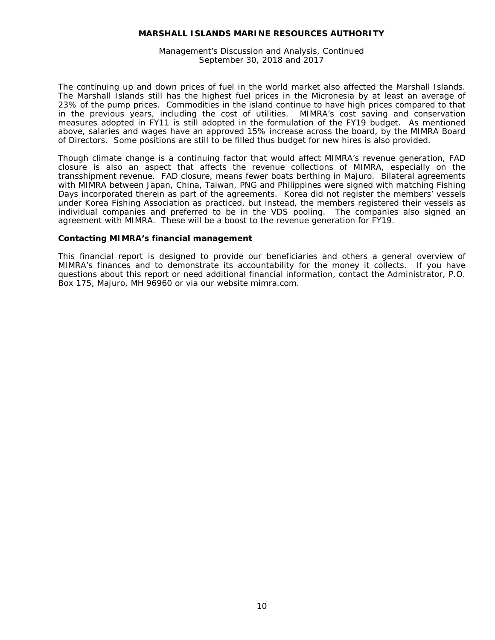#### Management's Discussion and Analysis, Continued September 30, 2018 and 2017

The continuing up and down prices of fuel in the world market also affected the Marshall Islands. The Marshall Islands still has the highest fuel prices in the Micronesia by at least an average of 23% of the pump prices. Commodities in the island continue to have high prices compared to that in the previous years, including the cost of utilities. MIMRA's cost saving and conservation measures adopted in FY11 is still adopted in the formulation of the FY19 budget. As mentioned above, salaries and wages have an approved 15% increase across the board, by the MIMRA Board of Directors. Some positions are still to be filled thus budget for new hires is also provided.

Though climate change is a continuing factor that would affect MIMRA's revenue generation, FAD closure is also an aspect that affects the revenue collections of MIMRA, especially on the transshipment revenue. FAD closure, means fewer boats berthing in Majuro. Bilateral agreements with MIMRA between Japan, China, Taiwan, PNG and Philippines were signed with matching Fishing Days incorporated therein as part of the agreements. Korea did not register the members' vessels under Korea Fishing Association as practiced, but instead, the members registered their vessels as individual companies and preferred to be in the VDS pooling. The companies also signed an agreement with MIMRA. These will be a boost to the revenue generation for FY19.

#### **Contacting MIMRA's financial management**

This financial report is designed to provide our beneficiaries and others a general overview of MIMRA's finances and to demonstrate its accountability for the money it collects. If you have questions about this report or need additional financial information, contact the Administrator, P.O. Box 175, Majuro, MH 96960 or via our website [mimra.com.](mailto:mimra.@ntamar.net)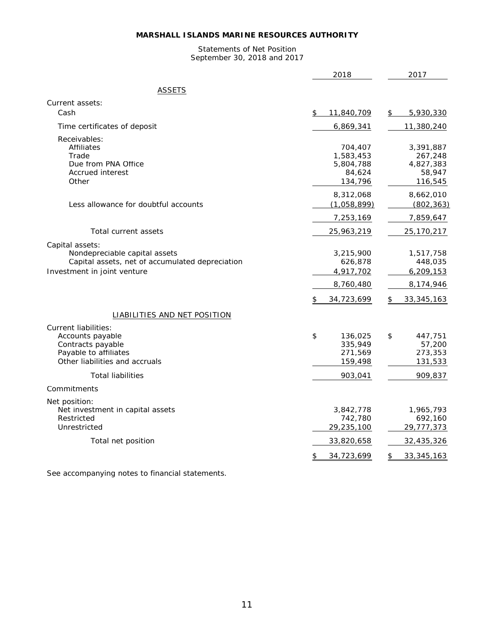#### Statements of Net Position September 30, 2018 and 2017

|                                                                                                                                    | 2018                                                               | 2017                                                                   |
|------------------------------------------------------------------------------------------------------------------------------------|--------------------------------------------------------------------|------------------------------------------------------------------------|
| <b>ASSETS</b>                                                                                                                      |                                                                    |                                                                        |
| Current assets:                                                                                                                    |                                                                    |                                                                        |
| Cash                                                                                                                               | 11,840,709<br>\$                                                   | 5,930,330<br>\$                                                        |
| Time certificates of deposit                                                                                                       | 6,869,341                                                          | 11,380,240                                                             |
| Receivables:<br>Affiliates<br>Trade<br>Due from PNA Office<br>Accrued interest<br>Other                                            | 704,407<br>1,583,453<br>5,804,788<br>84,624<br>134,796             | 3,391,887<br>267,248<br>4,827,383<br>58,947<br>116,545                 |
| Less allowance for doubtful accounts                                                                                               | 8,312,068<br>(1,058,899)                                           | 8,662,010<br>(802, 363)                                                |
|                                                                                                                                    | 7,253,169                                                          | 7,859,647                                                              |
| Total current assets                                                                                                               | 25,963,219                                                         | 25,170,217                                                             |
| Capital assets:<br>Nondepreciable capital assets<br>Capital assets, net of accumulated depreciation<br>Investment in joint venture | 3,215,900<br>626,878<br>4,917,702<br>8,760,480<br>34,723,699<br>\$ | 1,517,758<br>448,035<br>6, 209, 153<br>8,174,946<br>\$<br>33, 345, 163 |
| LIABILITIES AND NET POSITION                                                                                                       |                                                                    |                                                                        |
| Current liabilities:<br>Accounts payable<br>Contracts payable<br>Payable to affiliates<br>Other liabilities and accruals           | \$<br>136,025<br>335,949<br>271,569<br>159,498                     | \$<br>447,751<br>57,200<br>273,353<br>131,533                          |
| <b>Total liabilities</b>                                                                                                           | 903,041                                                            | 909,837                                                                |
| Commitments                                                                                                                        |                                                                    |                                                                        |
| Net position:<br>Net investment in capital assets<br>Restricted<br>Unrestricted                                                    | 3,842,778<br>742,780<br>29,235,100                                 | 1,965,793<br>692,160<br>29,777,373                                     |
| Total net position                                                                                                                 | 33,820,658                                                         | 32,435,326                                                             |
|                                                                                                                                    | 34,723,699<br>\$                                                   | \$<br>33, 345, 163                                                     |

See accompanying notes to financial statements.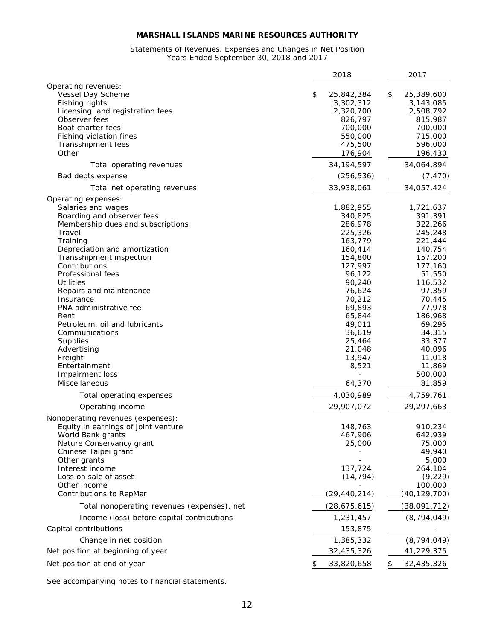#### Statements of Revenues, Expenses and Changes in Net Position Years Ended September 30, 2018 and 2017

|                                             |    | 2018           | 2017             |
|---------------------------------------------|----|----------------|------------------|
| Operating revenues:                         |    |                |                  |
| Vessel Day Scheme                           | \$ | 25,842,384     | \$<br>25,389,600 |
| Fishing rights                              |    | 3,302,312      | 3,143,085        |
| Licensing and registration fees             |    | 2,320,700      | 2,508,792        |
| Observer fees                               |    | 826,797        | 815,987          |
| Boat charter fees                           |    | 700,000        | 700,000          |
| Fishing violation fines                     |    | 550,000        | 715,000          |
| Transshipment fees                          |    | 475,500        | 596,000          |
| Other                                       |    | 176,904        | 196,430          |
| Total operating revenues                    |    | 34, 194, 597   | 34,064,894       |
| Bad debts expense                           |    | (256, 536)     | (7, 470)         |
| Total net operating revenues                |    | 33,938,061     | 34,057,424       |
| Operating expenses:                         |    |                |                  |
| Salaries and wages                          |    | 1,882,955      | 1,721,637        |
| Boarding and observer fees                  |    | 340,825        | 391,391          |
| Membership dues and subscriptions           |    | 286,978        | 322,266          |
| Travel                                      |    | 225,326        | 245,248          |
| Training                                    |    | 163,779        | 221,444          |
| Depreciation and amortization               |    | 160,414        | 140,754          |
| Transshipment inspection                    |    | 154,800        | 157,200          |
| Contributions                               |    | 127,997        | 177,160          |
| Professional fees                           |    | 96,122         | 51,550           |
| <b>Utilities</b>                            |    | 90,240         | 116,532          |
| Repairs and maintenance                     |    | 76,624         | 97,359           |
| Insurance                                   |    | 70,212         | 70,445           |
| PNA administrative fee                      |    | 69,893         | 77,978           |
| Rent                                        |    | 65,844         | 186,968          |
| Petroleum, oil and lubricants               |    | 49,011         | 69,295           |
| Communications                              |    | 36,619         | 34,315           |
| Supplies                                    |    | 25,464         | 33,377           |
| Advertising                                 |    | 21,048         | 40,096           |
| Freight                                     |    | 13,947         | 11,018           |
| Entertainment                               |    | 8,521          | 11,869           |
| Impairment loss                             |    |                | 500,000          |
| Miscellaneous                               |    | 64,370         | 81,859           |
| Total operating expenses                    |    | 4,030,989      | 4,759,761        |
| Operating income                            |    | 29,907,072     | 29,297,663       |
| Nonoperating revenues (expenses):           |    |                |                  |
| Equity in earnings of joint venture         |    | 148,763        | 910,234          |
| World Bank grants                           |    | 467,906        | 642,939          |
| Nature Conservancy grant                    |    | 25,000         | 75,000           |
| Chinese Taipei grant                        |    |                | 49,940           |
| Other grants                                |    |                | 5,000            |
| Interest income                             |    | 137,724        | 264,104          |
| Loss on sale of asset                       |    | (14, 794)      | (9, 229)         |
| Other income                                |    |                | 100,000          |
| Contributions to RepMar                     |    | (29, 440, 214) | (40, 129, 700)   |
| Total nonoperating revenues (expenses), net |    | (28, 675, 615) | (38,091,712)     |
| Income (loss) before capital contributions  |    | 1,231,457      | (8, 794, 049)    |
| Capital contributions                       |    | 153,875        |                  |
| Change in net position                      |    | 1,385,332      | (8, 794, 049)    |
| Net position at beginning of year           |    | 32,435,326     | 41,229,375       |
| Net position at end of year                 | S  | 33,820,658     | \$<br>32,435,326 |

See accompanying notes to financial statements.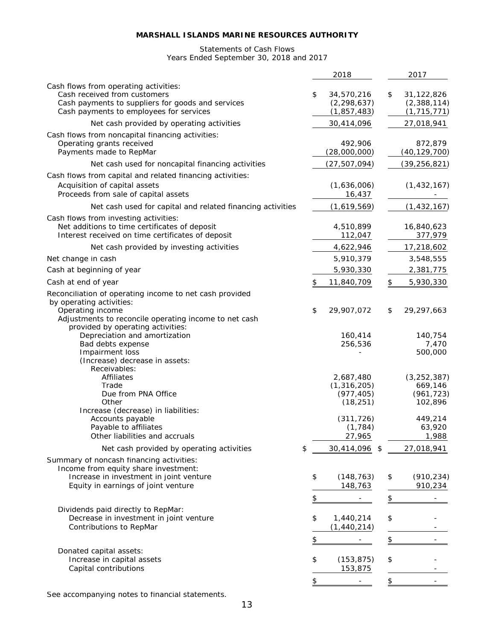#### Years Ended September 30, 2018 and 2017 Statements of Cash Flows

|                                                                                                                                                                                                                                                                                                                                                                                                                                                                             | 2018                                                                                                                      |          | 2017                                                                                                                |
|-----------------------------------------------------------------------------------------------------------------------------------------------------------------------------------------------------------------------------------------------------------------------------------------------------------------------------------------------------------------------------------------------------------------------------------------------------------------------------|---------------------------------------------------------------------------------------------------------------------------|----------|---------------------------------------------------------------------------------------------------------------------|
| Cash flows from operating activities:<br>Cash received from customers<br>Cash payments to suppliers for goods and services<br>Cash payments to employees for services                                                                                                                                                                                                                                                                                                       | \$<br>34,570,216<br>(2, 298, 637)<br>(1, 857, 483)                                                                        | \$       | 31,122,826<br>(2, 388, 114)<br>(1, 715, 771)                                                                        |
| Net cash provided by operating activities                                                                                                                                                                                                                                                                                                                                                                                                                                   | 30,414,096                                                                                                                |          | 27,018,941                                                                                                          |
| Cash flows from noncapital financing activities:<br>Operating grants received<br>Payments made to RepMar                                                                                                                                                                                                                                                                                                                                                                    | 492,906<br>(28,000,000)                                                                                                   |          | 872,879<br>(40, 129, 700)                                                                                           |
| Net cash used for noncapital financing activities                                                                                                                                                                                                                                                                                                                                                                                                                           | (27, 507, 094)                                                                                                            |          | (39, 256, 821)                                                                                                      |
| Cash flows from capital and related financing activities:<br>Acquisition of capital assets<br>Proceeds from sale of capital assets                                                                                                                                                                                                                                                                                                                                          | (1,636,006)<br>16,437                                                                                                     |          | (1, 432, 167)                                                                                                       |
| Net cash used for capital and related financing activities                                                                                                                                                                                                                                                                                                                                                                                                                  | (1,619,569)                                                                                                               |          | (1, 432, 167)                                                                                                       |
| Cash flows from investing activities:<br>Net additions to time certificates of deposit<br>Interest received on time certificates of deposit                                                                                                                                                                                                                                                                                                                                 | 4,510,899<br>112,047                                                                                                      |          | 16,840,623<br>377,979                                                                                               |
| Net cash provided by investing activities                                                                                                                                                                                                                                                                                                                                                                                                                                   | 4,622,946                                                                                                                 |          | 17,218,602                                                                                                          |
| Net change in cash                                                                                                                                                                                                                                                                                                                                                                                                                                                          | 5,910,379                                                                                                                 |          | 3,548,555                                                                                                           |
| Cash at beginning of year                                                                                                                                                                                                                                                                                                                                                                                                                                                   | 5,930,330                                                                                                                 |          | 2,381,775                                                                                                           |
| Cash at end of year                                                                                                                                                                                                                                                                                                                                                                                                                                                         | \$<br>11,840,709                                                                                                          | \$       | 5,930,330                                                                                                           |
| Reconciliation of operating income to net cash provided<br>by operating activities:<br>Operating income<br>Adjustments to reconcile operating income to net cash<br>provided by operating activities:<br>Depreciation and amortization<br>Bad debts expense<br>Impairment loss<br>(Increase) decrease in assets:<br>Receivables:<br>Affiliates<br>Trade<br>Due from PNA Office<br>Other<br>Increase (decrease) in liabilities:<br>Accounts payable<br>Payable to affiliates | \$<br>29,907,072<br>160,414<br>256,536<br>2,687,480<br>(1, 316, 205)<br>(977, 405)<br>(18, 251)<br>(311, 726)<br>(1, 784) | \$       | 29,297,663<br>140,754<br>7,470<br>500,000<br>(3, 252, 387)<br>669,146<br>(961, 723)<br>102,896<br>449,214<br>63,920 |
| Other liabilities and accruals                                                                                                                                                                                                                                                                                                                                                                                                                                              | 27,965                                                                                                                    |          | 1,988                                                                                                               |
| Net cash provided by operating activities                                                                                                                                                                                                                                                                                                                                                                                                                                   | \$<br>30,414,096                                                                                                          | \$       | 27,018,941                                                                                                          |
| Summary of noncash financing activities:<br>Income from equity share investment:<br>Increase in investment in joint venture<br>Equity in earnings of joint venture                                                                                                                                                                                                                                                                                                          | \$<br>(148, 763)<br>148,763<br>\$                                                                                         | \$<br>\$ | (910, 234)<br>910,234                                                                                               |
|                                                                                                                                                                                                                                                                                                                                                                                                                                                                             |                                                                                                                           |          |                                                                                                                     |
| Dividends paid directly to RepMar:<br>Decrease in investment in joint venture<br>Contributions to RepMar                                                                                                                                                                                                                                                                                                                                                                    | \$<br>1,440,214<br>(1, 440, 214)                                                                                          | \$       |                                                                                                                     |
|                                                                                                                                                                                                                                                                                                                                                                                                                                                                             | \$                                                                                                                        | \$       |                                                                                                                     |
| Donated capital assets:<br>Increase in capital assets<br>Capital contributions                                                                                                                                                                                                                                                                                                                                                                                              | \$<br>(153, 875)<br>153,875                                                                                               | \$       |                                                                                                                     |
|                                                                                                                                                                                                                                                                                                                                                                                                                                                                             | \$                                                                                                                        | \$       |                                                                                                                     |

See accompanying notes to financial statements.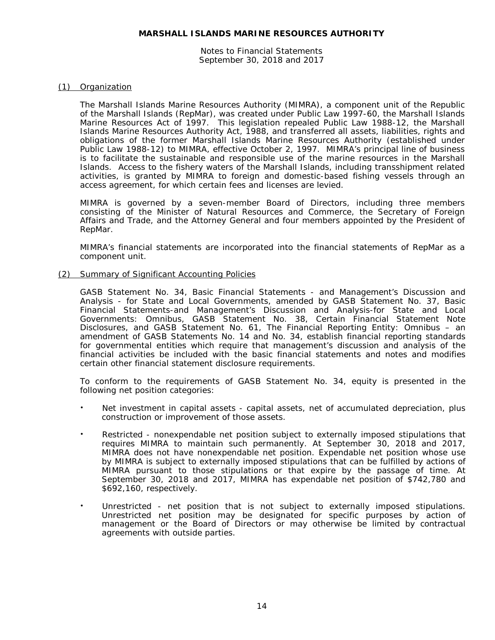Notes to Financial Statements September 30, 2018 and 2017

# (1) Organization

The Marshall Islands Marine Resources Authority (MIMRA), a component unit of the Republic of the Marshall Islands (RepMar), was created under Public Law 1997-60, the Marshall Islands Marine Resources Act of 1997. This legislation repealed Public Law 1988-12, the Marshall Islands Marine Resources Authority Act, 1988, and transferred all assets, liabilities, rights and obligations of the former Marshall Islands Marine Resources Authority (established under Public Law 1988-12) to MIMRA, effective October 2, 1997. MIMRA's principal line of business is to facilitate the sustainable and responsible use of the marine resources in the Marshall Islands. Access to the fishery waters of the Marshall Islands, including transshipment related activities, is granted by MIMRA to foreign and domestic-based fishing vessels through an access agreement, for which certain fees and licenses are levied.

MIMRA is governed by a seven-member Board of Directors, including three members consisting of the Minister of Natural Resources and Commerce, the Secretary of Foreign Affairs and Trade, and the Attorney General and four members appointed by the President of RepMar.

MIMRA's financial statements are incorporated into the financial statements of RepMar as a component unit.

#### (2) Summary of Significant Accounting Policies

GASB Statement No. 34, *Basic Financial Statements - and Management's Discussion and Analysis - for State and Local Governments*, amended by GASB Statement No. 37, *Basic Financial Statements-and Management's Discussion and Analysis-for State and Local Governments: Omnibus*, GASB Statement No. 38, *Certain Financial Statement Note Disclosures*, and GASB Statement No. 61, *The Financial Reporting Entity: Omnibus – an amendment of GASB Statements No. 14 and No. 34*, establish financial reporting standards for governmental entities which require that management's discussion and analysis of the financial activities be included with the basic financial statements and notes and modifies certain other financial statement disclosure requirements.

To conform to the requirements of GASB Statement No. 34, equity is presented in the following net position categories:

- Net investment in capital assets capital assets, net of accumulated depreciation, plus construction or improvement of those assets.
- Restricted nonexpendable net position subject to externally imposed stipulations that requires MIMRA to maintain such permanently. At September 30, 2018 and 2017, MIMRA does not have nonexpendable net position. Expendable net position whose use by MIMRA is subject to externally imposed stipulations that can be fulfilled by actions of MIMRA pursuant to those stipulations or that expire by the passage of time. At September 30, 2018 and 2017, MIMRA has expendable net position of \$742,780 and \$692,160, respectively.
- Unrestricted net position that is not subject to externally imposed stipulations. Unrestricted net position may be designated for specific purposes by action of management or the Board of Directors or may otherwise be limited by contractual agreements with outside parties.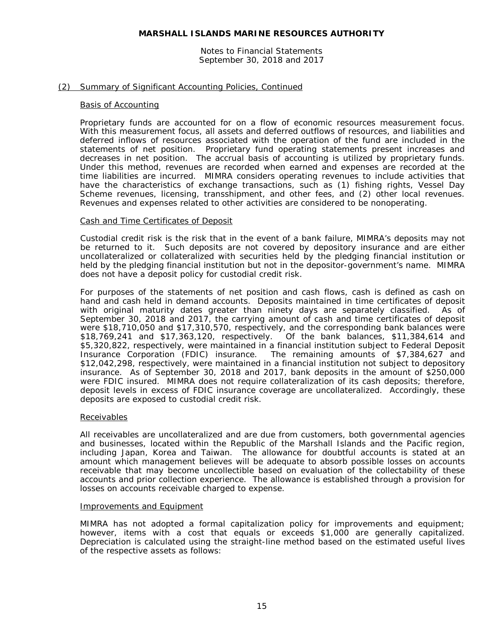Notes to Financial Statements September 30, 2018 and 2017

# (2) Summary of Significant Accounting Policies, Continued

#### Basis of Accounting

Proprietary funds are accounted for on a flow of economic resources measurement focus. With this measurement focus, all assets and deferred outflows of resources, and liabilities and deferred inflows of resources associated with the operation of the fund are included in the statements of net position. Proprietary fund operating statements present increases and decreases in net position. The accrual basis of accounting is utilized by proprietary funds. Under this method, revenues are recorded when earned and expenses are recorded at the time liabilities are incurred. MIMRA considers operating revenues to include activities that have the characteristics of exchange transactions, such as (1) fishing rights, Vessel Day Scheme revenues, licensing, transshipment, and other fees, and (2) other local revenues. Revenues and expenses related to other activities are considered to be nonoperating.

#### Cash and Time Certificates of Deposit

Custodial credit risk is the risk that in the event of a bank failure, MIMRA's deposits may not be returned to it. Such deposits are not covered by depository insurance and are either uncollateralized or collateralized with securities held by the pledging financial institution or held by the pledging financial institution but not in the depositor-government's name. MIMRA does not have a deposit policy for custodial credit risk.

For purposes of the statements of net position and cash flows, cash is defined as cash on hand and cash held in demand accounts. Deposits maintained in time certificates of deposit with original maturity dates greater than ninety days are separately classified. As of September 30, 2018 and 2017, the carrying amount of cash and time certificates of deposit were \$18,710,050 and \$17,310,570, respectively, and the corresponding bank balances were \$18,769,241 and \$17,363,120, respectively. Of the bank balances, \$11,384,614 and \$18,769,241 and \$17,363,120, respectively. \$5,320,822, respectively, were maintained in a financial institution subject to Federal Deposit Insurance Corporation (FDIC) insurance. The remaining amounts of \$7,384,627 and \$12,042,298, respectively, were maintained in a financial institution not subject to depository insurance. As of September 30, 2018 and 2017, bank deposits in the amount of \$250,000 were FDIC insured. MIMRA does not require collateralization of its cash deposits; therefore, deposit levels in excess of FDIC insurance coverage are uncollateralized. Accordingly, these deposits are exposed to custodial credit risk.

# Receivables

All receivables are uncollateralized and are due from customers, both governmental agencies and businesses, located within the Republic of the Marshall Islands and the Pacific region, including Japan, Korea and Taiwan. The allowance for doubtful accounts is stated at an amount which management believes will be adequate to absorb possible losses on accounts receivable that may become uncollectible based on evaluation of the collectability of these accounts and prior collection experience. The allowance is established through a provision for losses on accounts receivable charged to expense.

#### Improvements and Equipment

MIMRA has not adopted a formal capitalization policy for improvements and equipment; however, items with a cost that equals or exceeds \$1,000 are generally capitalized. Depreciation is calculated using the straight-line method based on the estimated useful lives of the respective assets as follows: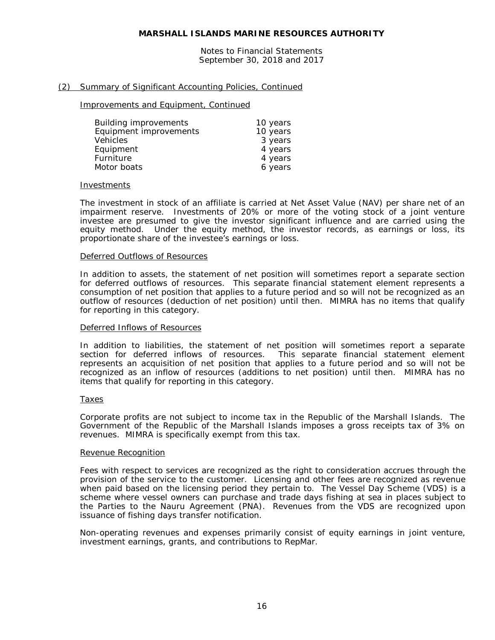Notes to Financial Statements September 30, 2018 and 2017

# (2) Summary of Significant Accounting Policies, Continued

Improvements and Equipment, Continued

| <b>Building improvements</b> | 10 years |
|------------------------------|----------|
| Equipment improvements       | 10 years |
| <b>Vehicles</b>              | 3 years  |
| Equipment                    | 4 years  |
| Furniture                    | 4 years  |
| Motor boats                  | 6 years  |

#### Investments

The investment in stock of an affiliate is carried at Net Asset Value (NAV) per share net of an impairment reserve. Investments of 20% or more of the voting stock of a joint venture investee are presumed to give the investor significant influence and are carried using the equity method. Under the equity method, the investor records, as earnings or loss, its proportionate share of the investee's earnings or loss.

#### Deferred Outflows of Resources

In addition to assets, the statement of net position will sometimes report a separate section for deferred outflows of resources. This separate financial statement element represents a consumption of net position that applies to a future period and so will not be recognized as an outflow of resources (deduction of net position) until then. MIMRA has no items that qualify for reporting in this category.

# Deferred Inflows of Resources

In addition to liabilities, the statement of net position will sometimes report a separate section for deferred inflows of resources. This separate financial statement element represents an acquisition of net position that applies to a future period and so will not be recognized as an inflow of resources (additions to net position) until then. MIMRA has no items that qualify for reporting in this category.

# Taxes

Corporate profits are not subject to income tax in the Republic of the Marshall Islands. The Government of the Republic of the Marshall Islands imposes a gross receipts tax of 3% on revenues. MIMRA is specifically exempt from this tax.

#### Revenue Recognition

Fees with respect to services are recognized as the right to consideration accrues through the provision of the service to the customer. Licensing and other fees are recognized as revenue when paid based on the licensing period they pertain to. The Vessel Day Scheme (VDS) is a scheme where vessel owners can purchase and trade days fishing at sea in places subject to the Parties to the Nauru Agreement (PNA). Revenues from the VDS are recognized upon issuance of fishing days transfer notification.

Non-operating revenues and expenses primarily consist of equity earnings in joint venture, investment earnings, grants, and contributions to RepMar.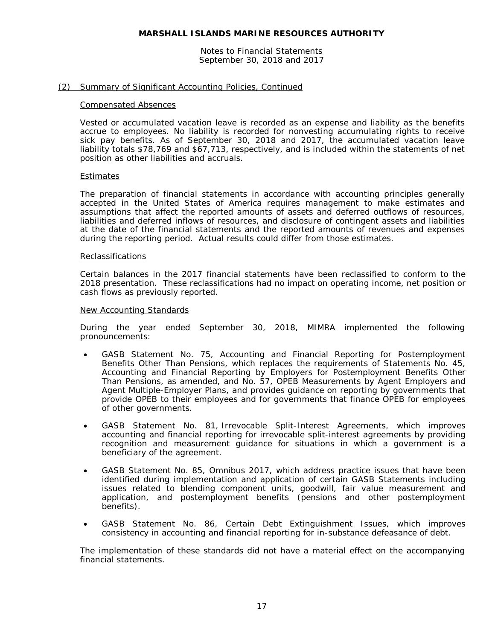Notes to Financial Statements September 30, 2018 and 2017

# (2) Summary of Significant Accounting Policies, Continued

#### Compensated Absences

Vested or accumulated vacation leave is recorded as an expense and liability as the benefits accrue to employees. No liability is recorded for nonvesting accumulating rights to receive sick pay benefits. As of September 30, 2018 and 2017, the accumulated vacation leave liability totals \$78,769 and \$67,713, respectively, and is included within the statements of net position as other liabilities and accruals.

#### Estimates

The preparation of financial statements in accordance with accounting principles generally accepted in the United States of America requires management to make estimates and assumptions that affect the reported amounts of assets and deferred outflows of resources, liabilities and deferred inflows of resources, and disclosure of contingent assets and liabilities at the date of the financial statements and the reported amounts of revenues and expenses during the reporting period. Actual results could differ from those estimates.

#### Reclassifications

Certain balances in the 2017 financial statements have been reclassified to conform to the 2018 presentation. These reclassifications had no impact on operating income, net position or cash flows as previously reported.

# New Accounting Standards

During the year ended September 30, 2018, MIMRA implemented the following pronouncements:

- GASB Statement No. 75, *Accounting and Financial Reporting for Postemployment Benefits Other Than Pensions*, which replaces the requirements of Statements No. 45, *Accounting and Financial Reporting by Employers for Postemployment Benefits Other Than Pensions, as amended*, and No. 57, *OPEB Measurements by Agent Employers and Agent Multiple-Employer Plans*, and provides guidance on reporting by governments that provide OPEB to their employees and for governments that finance OPEB for employees of other governments.
- GASB Statement No. 81, *Irrevocable Split-Interest Agreements*, which improves accounting and financial reporting for irrevocable split-interest agreements by providing recognition and measurement guidance for situations in which a government is a beneficiary of the agreement.
- GASB Statement No. 85, *Omnibus 2017*, which address practice issues that have been identified during implementation and application of certain GASB Statements including issues related to blending component units, goodwill, fair value measurement and application, and postemployment benefits (pensions and other postemployment benefits).
- GASB Statement No. 86, *Certain Debt Extinguishment Issues*, which improves consistency in accounting and financial reporting for in-substance defeasance of debt.

The implementation of these standards did not have a material effect on the accompanying financial statements.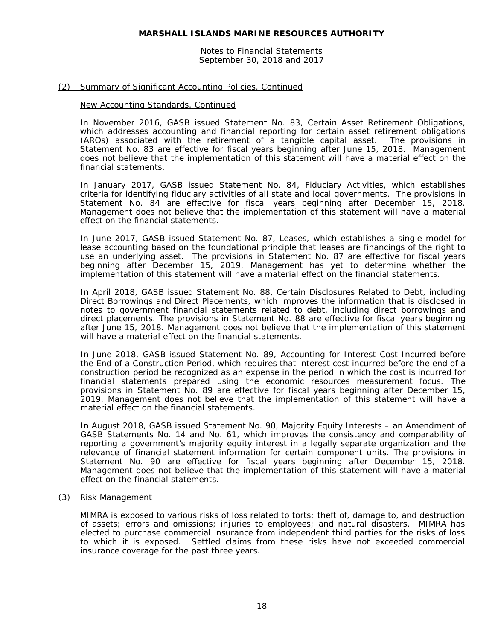Notes to Financial Statements September 30, 2018 and 2017

# (2) Summary of Significant Accounting Policies, Continued

#### New Accounting Standards, Continued

In November 2016, GASB issued Statement No. 83, *Certain Asset Retirement Obligations*, which addresses accounting and financial reporting for certain asset retirement obligations (AROs) associated with the retirement of a tangible capital asset. The provisions in Statement No. 83 are effective for fiscal years beginning after June 15, 2018. Management does not believe that the implementation of this statement will have a material effect on the financial statements.

In January 2017, GASB issued Statement No. 84, *Fiduciary Activities*, which establishes criteria for identifying fiduciary activities of all state and local governments. The provisions in Statement No. 84 are effective for fiscal years beginning after December 15, 2018. Management does not believe that the implementation of this statement will have a material effect on the financial statements.

In June 2017, GASB issued Statement No. 87, *Leases*, which establishes a single model for lease accounting based on the foundational principle that leases are financings of the right to use an underlying asset. The provisions in Statement No. 87 are effective for fiscal years beginning after December 15, 2019. Management has yet to determine whether the implementation of this statement will have a material effect on the financial statements.

In April 2018, GASB issued Statement No. 88, *Certain Disclosures Related to Debt, including Direct Borrowings and Direct Placements*, which improves the information that is disclosed in notes to government financial statements related to debt, including direct borrowings and direct placements. The provisions in Statement No. 88 are effective for fiscal years beginning after June 15, 2018. Management does not believe that the implementation of this statement will have a material effect on the financial statements.

In June 2018, GASB issued Statement No. 89, *Accounting for Interest Cost Incurred before the End of a Construction Period*, which requires that interest cost incurred before the end of a construction period be recognized as an expense in the period in which the cost is incurred for financial statements prepared using the economic resources measurement focus. The provisions in Statement No. 89 are effective for fiscal years beginning after December 15, 2019. Management does not believe that the implementation of this statement will have a material effect on the financial statements.

In August 2018, GASB issued Statement No. 90, *Majority Equity Interests – an Amendment of GASB Statements No. 14 and No. 61,* which improves the consistency and comparability of reporting a government's majority equity interest in a legally separate organization and the relevance of financial statement information for certain component units. The provisions in Statement No. 90 are effective for fiscal years beginning after December 15, 2018. Management does not believe that the implementation of this statement will have a material effect on the financial statements.

#### (3) Risk Management

MIMRA is exposed to various risks of loss related to torts; theft of, damage to, and destruction of assets; errors and omissions; injuries to employees; and natural disasters. MIMRA has elected to purchase commercial insurance from independent third parties for the risks of loss to which it is exposed. Settled claims from these risks have not exceeded commercial insurance coverage for the past three years.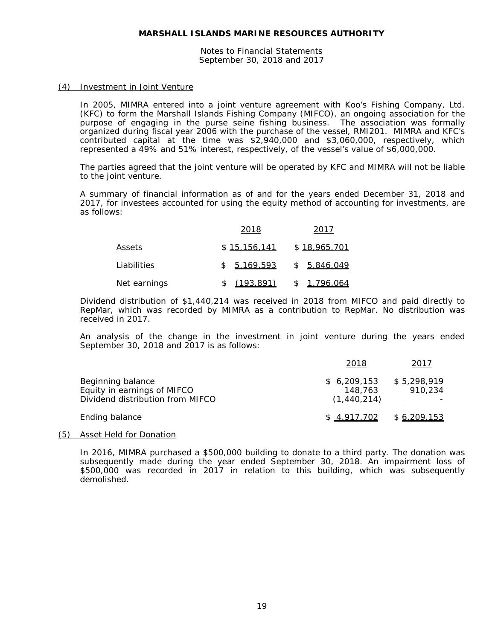Notes to Financial Statements September 30, 2018 and 2017

#### (4) Investment in Joint Venture

In 2005, MIMRA entered into a joint venture agreement with Koo's Fishing Company, Ltd. (KFC) to form the Marshall Islands Fishing Company (MIFCO), an ongoing association for the purpose of engaging in the purse seine fishing business. The association was formally organized during fiscal year 2006 with the purchase of the vessel, RMI201. MIMRA and KFC's contributed capital at the time was \$2,940,000 and \$3,060,000, respectively, which represented a 49% and 51% interest, respectively, of the vessel's value of \$6,000,000.

The parties agreed that the joint venture will be operated by KFC and MIMRA will not be liable to the joint venture.

A summary of financial information as of and for the years ended December 31, 2018 and 2017, for investees accounted for using the equity method of accounting for investments, are as follows:

|              | 2018             | 2017         |
|--------------|------------------|--------------|
| Assets       | \$15,156,141     | \$18,965,701 |
| Liabilities  | 5,169,593        | \$5,846,049  |
| Net earnings | <u>(193,891)</u> | \$1,796,064  |

Dividend distribution of \$1,440,214 was received in 2018 from MIFCO and paid directly to RepMar, which was recorded by MIMRA as a contribution to RepMar. No distribution was received in 2017.

An analysis of the change in the investment in joint venture during the years ended September 30, 2018 and 2017 is as follows:

|                                                                                      | 2018                                  | <u> 2017</u>           |
|--------------------------------------------------------------------------------------|---------------------------------------|------------------------|
| Beginning balance<br>Equity in earnings of MIFCO<br>Dividend distribution from MIFCO | \$6,209,153<br>148,763<br>(1,440,214) | \$5,298,919<br>910.234 |
| Ending balance                                                                       | \$4.917.702                           | \$6,209,153            |

#### (5) Asset Held for Donation

In 2016, MIMRA purchased a \$500,000 building to donate to a third party. The donation was subsequently made during the year ended September 30, 2018. An impairment loss of \$500,000 was recorded in 2017 in relation to this building, which was subsequently demolished.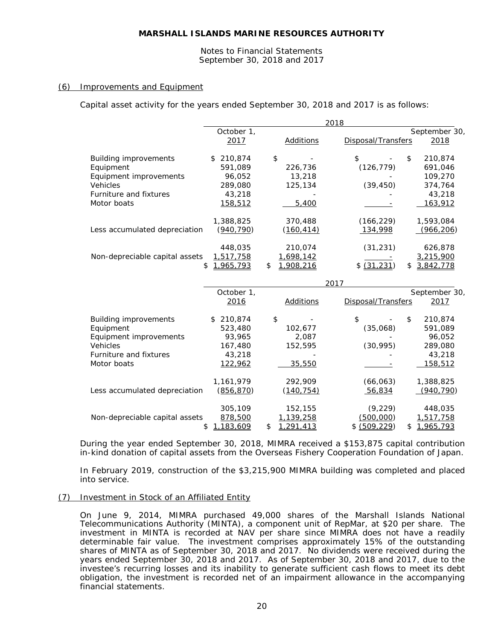#### Notes to Financial Statements September 30, 2018 and 2017

# (6) Improvements and Equipment

Capital asset activity for the years ended September 30, 2018 and 2017 is as follows:

|                                |                 |                  | 2018               |                 |
|--------------------------------|-----------------|------------------|--------------------|-----------------|
|                                | October 1,      |                  |                    | September 30,   |
|                                | 2017            | <b>Additions</b> | Disposal/Transfers | 2018            |
| <b>Building improvements</b>   | 210,874<br>\$   | \$               | \$                 | \$<br>210,874   |
| Equipment                      | 591,089         | 226,736          | (126, 779)         | 691,046         |
| Equipment improvements         | 96,052          | 13,218           |                    | 109,270         |
| <b>Vehicles</b>                | 289,080         | 125,134          | (39, 450)          | 374,764         |
| Furniture and fixtures         | 43,218          |                  |                    | 43,218          |
| Motor boats                    | 158,512         | 5,400            |                    | 163,912         |
|                                | 1,388,825       | 370,488          | (166, 229)         | 1,593,084       |
| Less accumulated depreciation  | (940, 790)      | (160, 414)       | 134,998            | (966, 206)      |
|                                | 448,035         | 210,074          | (31, 231)          | 626,878         |
| Non-depreciable capital assets | 1,517,758       | 1,698,142        |                    | 3,215,900       |
|                                | 1,965,793<br>\$ | \$<br>1,908,216  | \$ (31, 231)       | \$<br>3,842,778 |
|                                |                 |                  | 2017               |                 |
|                                | October 1,      |                  |                    | September 30,   |
|                                | 2016            | <b>Additions</b> | Disposal/Transfers | 2017            |
| <b>Building improvements</b>   | \$210,874       | \$               | \$                 | \$<br>210,874   |
| Equipment                      | 523,480         | 102,677          | (35,068)           | 591,089         |
| Equipment improvements         | 93,965          | 2,087            |                    | 96,052          |
| Vehicles                       | 167,480         | 152,595          | (30, 995)          | 289,080         |
| Furniture and fixtures         | 43,218          |                  |                    | 43,218          |
| Motor boats                    | 122,962         | 35,550           |                    | <u>158,512</u>  |
|                                | 1,161,979       | 292,909          | (66, 063)          | 1,388,825       |
| Less accumulated depreciation  | (856, 870)      | (140, 754)       | 56,834             | (940, 790)      |
|                                | 305,109         | 152,155          | (9, 229)           | 448,035         |
| Non-depreciable capital assets | 878,500         | 1,139,258        | (500,000)          | 1,517,758       |
|                                | \$<br>1,183,609 | \$<br>1,291,413  | \$ (509, 229)      | \$<br>1,965,793 |

During the year ended September 30, 2018, MIMRA received a \$153,875 capital contribution in-kind donation of capital assets from the Overseas Fishery Cooperation Foundation of Japan.

In February 2019, construction of the \$3,215,900 MIMRA building was completed and placed into service.

# (7) Investment in Stock of an Affiliated Entity

On June 9, 2014, MIMRA purchased 49,000 shares of the Marshall Islands National Telecommunications Authority (MINTA), a component unit of RepMar, at \$20 per share. The investment in MINTA is recorded at NAV per share since MIMRA does not have a readily determinable fair value. The investment comprises approximately 15% of the outstanding shares of MINTA as of September 30, 2018 and 2017. No dividends were received during the years ended September 30, 2018 and 2017. As of September 30, 2018 and 2017, due to the investee's recurring losses and its inability to generate sufficient cash flows to meet its debt obligation, the investment is recorded net of an impairment allowance in the accompanying financial statements.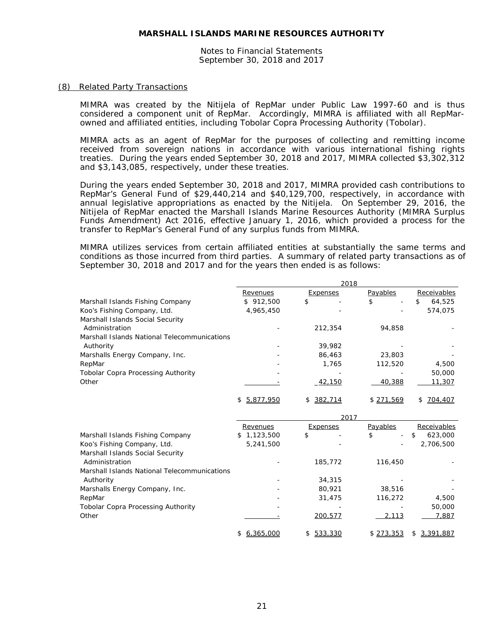Notes to Financial Statements September 30, 2018 and 2017

#### (8) Related Party Transactions

MIMRA was created by the Nitijela of RepMar under Public Law 1997-60 and is thus considered a component unit of RepMar. Accordingly, MIMRA is affiliated with all RepMarowned and affiliated entities, including Tobolar Copra Processing Authority (Tobolar).

MIMRA acts as an agent of RepMar for the purposes of collecting and remitting income received from sovereign nations in accordance with various international fishing rights treaties. During the years ended September 30, 2018 and 2017, MIMRA collected \$3,302,312 and \$3,143,085, respectively, under these treaties.

During the years ended September 30, 2018 and 2017, MIMRA provided cash contributions to RepMar's General Fund of \$29,440,214 and \$40,129,700, respectively, in accordance with annual legislative appropriations as enacted by the Nitijela. On September 29, 2016, the Nitijela of RepMar enacted the Marshall Islands Marine Resources Authority (MIMRA Surplus Funds Amendment) Act 2016, effective January 1, 2016, which provided a process for the transfer to RepMar's General Fund of any surplus funds from MIMRA.

MIMRA utilizes services from certain affiliated entities at substantially the same terms and conditions as those incurred from third parties. A summary of related party transactions as of September 30, 2018 and 2017 and for the years then ended is as follows:

|                                              |           | 2018           |                                |               |
|----------------------------------------------|-----------|----------------|--------------------------------|---------------|
|                                              | Revenues  | Expenses       | Payables                       | Receivables   |
| Marshall Islands Fishing Company             | \$912,500 | \$             | \$<br>$\overline{\phantom{0}}$ | 64,525<br>\$  |
| Koo's Fishing Company, Ltd.                  | 4,965,450 |                |                                | 574,075       |
| Marshall Islands Social Security             |           |                |                                |               |
| Administration                               |           | 212,354        | 94.858                         |               |
| Marshall Islands National Telecommunications |           |                |                                |               |
| Authority                                    |           | 39,982         |                                |               |
| Marshalls Energy Company, Inc.               |           | 86,463         | 23,803                         |               |
| RepMar                                       |           | 1.765          | 112,520                        | 4,500         |
| <b>Tobolar Copra Processing Authority</b>    |           |                |                                | 50,000        |
| Other                                        |           | 42,150         | 40,388                         | 11,307        |
|                                              |           |                |                                |               |
|                                              | 5.877.950 | 382,714<br>\$. | \$271.569                      | 704,407<br>\$ |

|                                              |                 | 2017          |                                |               |
|----------------------------------------------|-----------------|---------------|--------------------------------|---------------|
|                                              | Revenues        | Expenses      | Payables                       | Receivables   |
| Marshall Islands Fishing Company             | 1,123,500<br>S. | \$            | \$<br>$\overline{\phantom{0}}$ | 623,000<br>\$ |
| Koo's Fishing Company, Ltd.                  | 5,241,500       |               |                                | 2,706,500     |
| Marshall Islands Social Security             |                 |               |                                |               |
| Administration                               |                 | 185,772       | 116,450                        |               |
| Marshall Islands National Telecommunications |                 |               |                                |               |
| Authority                                    |                 | 34,315        |                                |               |
| Marshalls Energy Company, Inc.               |                 | 80.921        | 38,516                         |               |
| RepMar                                       |                 | 31,475        | 116,272                        | 4,500         |
| <b>Tobolar Copra Processing Authority</b>    |                 |               |                                | 50,000        |
| Other                                        |                 | 200,577       | 2,113                          | 7,887         |
|                                              |                 |               |                                |               |
|                                              | 6,365,000       | 533,330<br>S. | \$273,353                      | \$3.391.887   |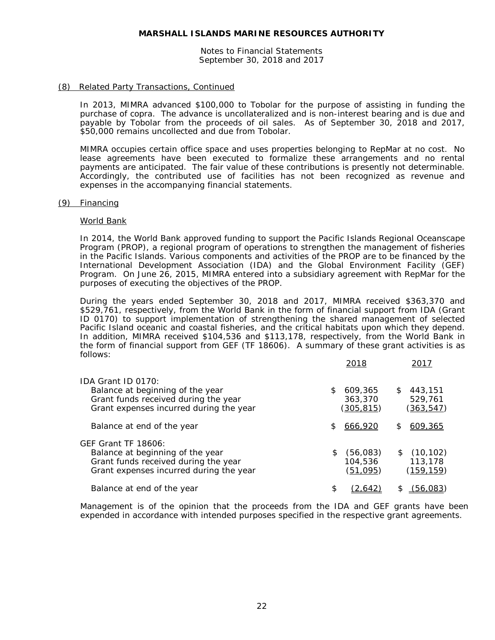Notes to Financial Statements September 30, 2018 and 2017

# (8) Related Party Transactions, Continued

In 2013, MIMRA advanced \$100,000 to Tobolar for the purpose of assisting in funding the purchase of copra. The advance is uncollateralized and is non-interest bearing and is due and payable by Tobolar from the proceeds of oil sales. As of September 30, 2018 and 2017, \$50,000 remains uncollected and due from Tobolar.

MIMRA occupies certain office space and uses properties belonging to RepMar at no cost. No lease agreements have been executed to formalize these arrangements and no rental payments are anticipated. The fair value of these contributions is presently not determinable. Accordingly, the contributed use of facilities has not been recognized as revenue and expenses in the accompanying financial statements.

#### (9) Financing

#### World Bank

In 2014, the World Bank approved funding to support the Pacific Islands Regional Oceanscape Program (PROP), a regional program of operations to strengthen the management of fisheries in the Pacific Islands. Various components and activities of the PROP are to be financed by the International Development Association (IDA) and the Global Environment Facility (GEF) Program. On June 26, 2015, MIMRA entered into a subsidiary agreement with RepMar for the purposes of executing the objectives of the PROP.

During the years ended September 30, 2018 and 2017, MIMRA received \$363,370 and \$529,761, respectively, from the World Bank in the form of financial support from IDA (Grant ID 0170) to support implementation of strengthening the shared management of selected Pacific Island oceanic and coastal fisheries, and the critical habitats upon which they depend. In addition, MIMRA received \$104,536 and \$113,178, respectively, from the World Bank in the form of financial support from GEF (TF 18606). A summary of these grant activities is as follows:

|                                                                                                                                                   | 2018                                   | 2017                                     |
|---------------------------------------------------------------------------------------------------------------------------------------------------|----------------------------------------|------------------------------------------|
| IDA Grant ID 0170:<br>Balance at beginning of the year<br>Grant funds received during the year<br>Grant expenses incurred during the year         | 609,365<br>\$<br>363,370<br>(305, 815) | 443.151<br>\$<br>529,761<br>(363, 547)   |
| Balance at end of the year                                                                                                                        | 666,920<br>S.                          | S<br>609,365                             |
| <b>GEF Grant TF 18606:</b><br>Balance at beginning of the year<br>Grant funds received during the year<br>Grant expenses incurred during the year | (56,083)<br>\$<br>104,536<br>(51, 095) | (10, 102)<br>\$<br>113,178<br>(159, 159) |
| Balance at end of the year                                                                                                                        |                                        | (56.083                                  |

Management is of the opinion that the proceeds from the IDA and GEF grants have been expended in accordance with intended purposes specified in the respective grant agreements.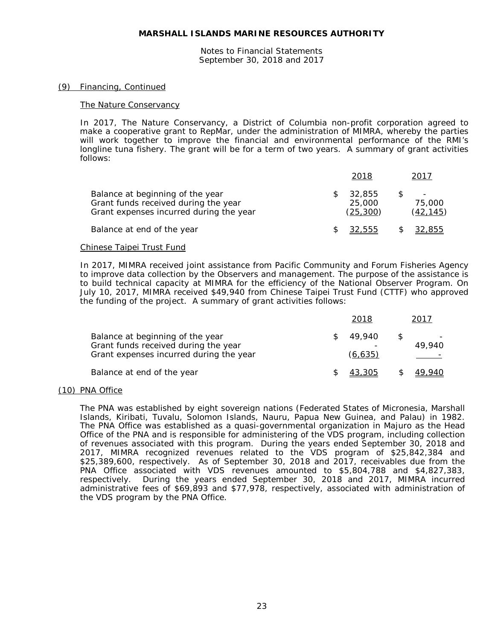Notes to Financial Statements September 30, 2018 and 2017

#### (9) Financing, Continued

#### The Nature Conservancy

In 2017, The Nature Conservancy, a District of Columbia non-profit corporation agreed to make a cooperative grant to RepMar, under the administration of MIMRA, whereby the parties will work together to improve the financial and environmental performance of the RMI's longline tuna fishery. The grant will be for a term of two years. A summary of grant activities follows:

|                                                                                                                     | 2018                          |                    |
|---------------------------------------------------------------------------------------------------------------------|-------------------------------|--------------------|
| Balance at beginning of the year<br>Grant funds received during the year<br>Grant expenses incurred during the year | 32,855<br>25,000<br>(25, 300) | 75,000<br>(42,145) |
| Balance at end of the year                                                                                          | 32,555                        | 32,855             |

#### Chinese Taipei Trust Fund

In 2017, MIMRA received joint assistance from Pacific Community and Forum Fisheries Agency to improve data collection by the Observers and management. The purpose of the assistance is to build technical capacity at MIMRA for the efficiency of the National Observer Program. On July 10, 2017, MIMRA received \$49,940 from Chinese Taipei Trust Fund (CTTF) who approved the funding of the project. A summary of grant activities follows:

|                                                                                                                     | 2018              | 2017   |
|---------------------------------------------------------------------------------------------------------------------|-------------------|--------|
| Balance at beginning of the year<br>Grant funds received during the year<br>Grant expenses incurred during the year | 49.940<br>(6,635) | 49.940 |
| Balance at end of the year                                                                                          | 43,305            | 49.940 |

#### (10) PNA Office

The PNA was established by eight sovereign nations (Federated States of Micronesia, Marshall Islands, Kiribati, Tuvalu, Solomon Islands, Nauru, Papua New Guinea, and Palau) in 1982. The PNA Office was established as a quasi-governmental organization in Majuro as the Head Office of the PNA and is responsible for administering of the VDS program, including collection of revenues associated with this program. During the years ended September 30, 2018 and 2017, MIMRA recognized revenues related to the VDS program of \$25,842,384 and \$25,389,600, respectively. As of September 30, 2018 and 2017, receivables due from the PNA Office associated with VDS revenues amounted to \$5,804,788 and \$4,827,383, respectively. During the years ended September 30, 2018 and 2017, MIMRA incurred administrative fees of \$69,893 and \$77,978, respectively, associated with administration of the VDS program by the PNA Office.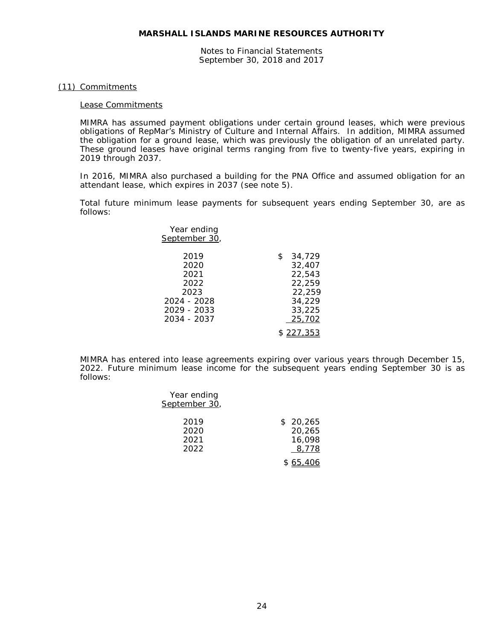Notes to Financial Statements September 30, 2018 and 2017

#### (11) Commitments

#### Lease Commitments

MIMRA has assumed payment obligations under certain ground leases, which were previous obligations of RepMar's Ministry of Culture and Internal Affairs. In addition, MIMRA assumed the obligation for a ground lease, which was previously the obligation of an unrelated party. These ground leases have original terms ranging from five to twenty-five years, expiring in 2019 through 2037.

In 2016, MIMRA also purchased a building for the PNA Office and assumed obligation for an attendant lease, which expires in 2037 (see note 5).

Total future minimum lease payments for subsequent years ending September 30, are as follows:

| Year ending   |              |
|---------------|--------------|
| September 30, |              |
|               |              |
| 2019          | \$<br>34,729 |
| 2020          | 32,407       |
| 2021          | 22,543       |
| 2022          | 22,259       |
| 2023          | 22,259       |
| 2024 - 2028   | 34,229       |
| 2029 - 2033   | 33,225       |
| 2034 - 2037   | 25,702       |
|               | \$227,353    |

MIMRA has entered into lease agreements expiring over various years through December 15, 2022. Future minimum lease income for the subsequent years ending September 30 is as follows:

| Year ending<br>September 30, |          |
|------------------------------|----------|
|                              |          |
| 2019                         | \$20,265 |
| 2020                         | 20,265   |
| 2021                         | 16,098   |
| 2022                         | 8.778    |
|                              | \$65.40  |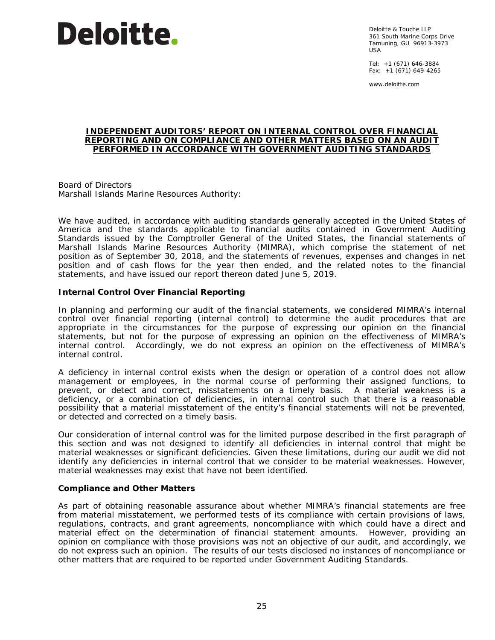

Deloitte & Touche LLP 361 South Marine Corps Drive Tamuning, GU 96913-3973 USA

Tel: +1 (671) 646-3884 Fax:  $+1$  (671) 649-4265

www.deloitte.com

#### **INDEPENDENT AUDITORS' REPORT ON INTERNAL CONTROL OVER FINANCIAL REPORTING AND ON COMPLIANCE AND OTHER MATTERS BASED ON AN AUDIT PERFORMED IN ACCORDANCE WITH** *GOVERNMENT AUDITING STANDARDS*

Board of Directors Marshall Islands Marine Resources Authority:

We have audited, in accordance with auditing standards generally accepted in the United States of America and the standards applicable to financial audits contained in *Government Auditing Standards* issued by the Comptroller General of the United States, the financial statements of Marshall Islands Marine Resources Authority (MIMRA), which comprise the statement of net position as of September 30, 2018, and the statements of revenues, expenses and changes in net position and of cash flows for the year then ended, and the related notes to the financial statements, and have issued our report thereon dated June 5, 2019.

# **Internal Control Over Financial Reporting**

In planning and performing our audit of the financial statements, we considered MIMRA's internal control over financial reporting (internal control) to determine the audit procedures that are appropriate in the circumstances for the purpose of expressing our opinion on the financial statements, but not for the purpose of expressing an opinion on the effectiveness of MIMRA's internal control. Accordingly, we do not express an opinion on the effectiveness of MIMRA's internal control.

A *deficiency in internal control* exists when the design or operation of a control does not allow management or employees, in the normal course of performing their assigned functions, to prevent, or detect and correct, misstatements on a timely basis. A *material weakness* is a deficiency, or a combination of deficiencies, in internal control such that there is a reasonable possibility that a material misstatement of the entity's financial statements will not be prevented, or detected and corrected on a timely basis.

Our consideration of internal control was for the limited purpose described in the first paragraph of this section and was not designed to identify all deficiencies in internal control that might be material weaknesses or significant deficiencies. Given these limitations, during our audit we did not identify any deficiencies in internal control that we consider to be material weaknesses. However, material weaknesses may exist that have not been identified.

# **Compliance and Other Matters**

As part of obtaining reasonable assurance about whether MIMRA's financial statements are free from material misstatement, we performed tests of its compliance with certain provisions of laws, regulations, contracts, and grant agreements, noncompliance with which could have a direct and material effect on the determination of financial statement amounts. However, providing an opinion on compliance with those provisions was not an objective of our audit, and accordingly, we do not express such an opinion. The results of our tests disclosed no instances of noncompliance or other matters that are required to be reported under *Government Auditing Standards*.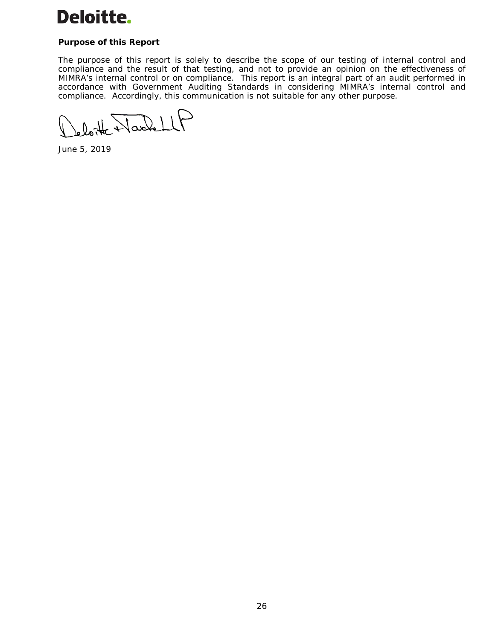# **Deloitte.**

# **Purpose of this Report**

The purpose of this report is solely to describe the scope of our testing of internal control and compliance and the result of that testing, and not to provide an opinion on the effectiveness of MIMRA's internal control or on compliance. This report is an integral part of an audit performed in accordance with *Government Auditing Standards* in considering MIMRA's internal control and compliance. Accordingly, this communication is not suitable for any other purpose.

loite Wackell

June 5, 2019